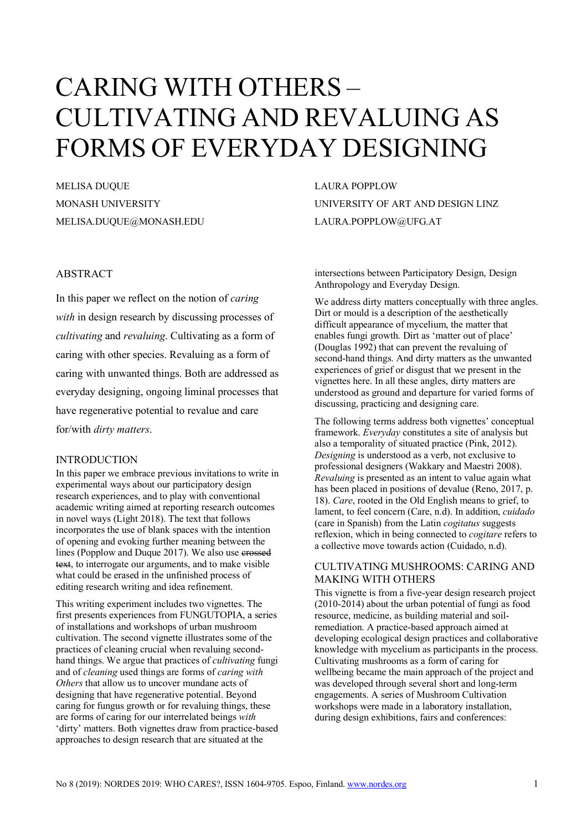# CARING WITH OTHERS – CULTIVATING AND REVALUING AS FORMS OF EVERYDAY DESIGNING

MELISA DUQUE MONASH UNIVERSITY MELISA.DUQUE@MONASH.EDU

## ABSTRACT

In this paper we reflect on the notion of *caring with* in design research by discussing processes of *cultivating* and *revaluing*. Cultivating as a form of caring with other species. Revaluing as a form of caring with unwanted things. Both are addressed as everyday designing, ongoing liminal processes that have regenerative potential to revalue and care for/with *dirty matters*.

## INTRODUCTION

In this paper we embrace previous invitations to write in experimental ways about our participatory design research experiences, and to play with conventional academic writing aimed at reporting research outcomes in novel ways (Light 2018). The text that follows incorporates the use of blank spaces with the intention of opening and evoking further meaning between the lines (Popplow and Duque 2017). We also use crossed text, to interrogate our arguments, and to make visible what could be erased in the unfinished process of editing research writing and idea refinement.

This writing experiment includes two vignettes. The first presents experiences from FUNGUTOPIA, a series of installations and workshops of urban mushroom cultivation. The second vignette illustrates some of the practices of cleaning crucial when revaluing secondhand things. We argue that practices of *cultivating* fungi and of *cleaning* used things are forms of *caring with Others* that allow us to uncover mundane acts of designing that have regenerative potential. Beyond caring for fungus growth or for revaluing things, these are forms of caring for our interrelated beings *with* 'dirty' matters. Both vignettes draw from practice-based approaches to design research that are situated at the

LAURA POPPLOW UNIVERSITY OF ART AND DESIGN LINZ LAURA.POPPLOW@UFG.AT

intersections between Participatory Design, Design Anthropology and Everyday Design.

We address dirty matters conceptually with three angles. Dirt or mould is a description of the aesthetically difficult appearance of mycelium, the matter that enables fungi growth. Dirt as 'matter out of place' (Douglas 1992) that can prevent the revaluing of second-hand things. And dirty matters as the unwanted experiences of grief or disgust that we present in the vignettes here. In all these angles, dirty matters are understood as ground and departure for varied forms of discussing, practicing and designing care.

The following terms address both vignettes' conceptual framework. *Everyday* constitutes a site of analysis but also a temporality of situated practice (Pink, 2012). *Designing* is understood as a verb, not exclusive to professional designers (Wakkary and Maestri 2008). *Revaluing* is presented as an intent to value again what has been placed in positions of devalue (Reno, 2017, p. 18). *Care*, rooted in the Old English means to grief, to lament, to feel concern (Care, n.d). In addition, *cuidado* (care in Spanish) from the Latin *cogitatus* suggests reflexion, which in being connected to *cogitare* refers to a collective move towards action (Cuidado, n.d).

## CULTIVATING MUSHROOMS: CARING AND MAKING WITH OTHERS

This vignette is from a five-year design research project (2010-2014) about the urban potential of fungi as food resource, medicine, as building material and soilremediation. A practice-based approach aimed at developing ecological design practices and collaborative knowledge with mycelium as participants in the process. Cultivating mushrooms as a form of caring for wellbeing became the main approach of the project and was developed through several short and long-term engagements. A series of Mushroom Cultivation workshops were made in a laboratory installation, during design exhibitions, fairs and conferences: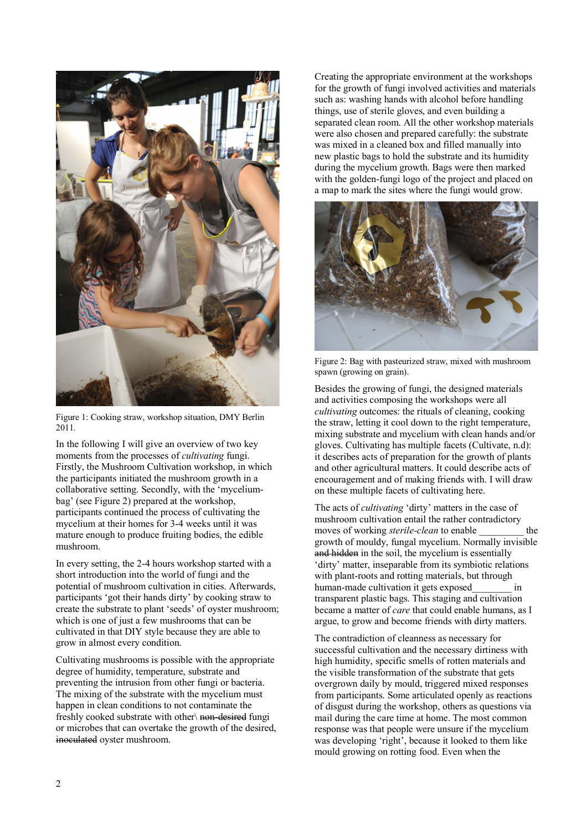

Figure 1: Cooking straw, workshop situation, DMY Berlin 2011.

In the following I will give an overview of two key moments from the processes of *cultivating* fungi. Firstly, the Mushroom Cultivation workshop, in which the participants initiated the mushroom growth in a collaborative setting. Secondly, with the 'myceliumbag' (see Figure 2) prepared at the workshop, participants continued the process of cultivating the mycelium at their homes for 3-4 weeks until it was mature enough to produce fruiting bodies, the edible mushroom.

In every setting, the 2-4 hours workshop started with a short introduction into the world of fungi and the potential of mushroom cultivation in cities. Afterwards, participants 'got their hands dirty' by cooking straw to create the substrate to plant 'seeds' of oyster mushroom; which is one of just a few mushrooms that can be cultivated in that DIY style because they are able to grow in almost every condition.

Cultivating mushrooms is possible with the appropriate degree of humidity, temperature, substrate and preventing the intrusion from other fungi or bacteria. The mixing of the substrate with the mycelium must happen in clean conditions to not contaminate the freshly cooked substrate with other\ non-desired fungi or microbes that can overtake the growth of the desired, inoculated oyster mushroom.

Creating the appropriate environment at the workshops for the growth of fungi involved activities and materials such as: washing hands with alcohol before handling things, use of sterile gloves, and even building a separated clean room. All the other workshop materials were also chosen and prepared carefully: the substrate was mixed in a cleaned box and filled manually into new plastic bags to hold the substrate and its humidity during the mycelium growth. Bags were then marked with the golden-fungi logo of the project and placed on a map to mark the sites where the fungi would grow.



Figure 2: Bag with pasteurized straw, mixed with mushroom spawn (growing on grain).

Besides the growing of fungi, the designed materials and activities composing the workshops were all *cultivating* outcomes: the rituals of cleaning, cooking the straw, letting it cool down to the right temperature, mixing substrate and mycelium with clean hands and/or gloves. Cultivating has multiple facets (Cultivate, n.d): it describes acts of preparation for the growth of plants and other agricultural matters. It could describe acts of encouragement and of making friends with. I will draw on these multiple facets of cultivating here.

The acts of *cultivating* 'dirty' matters in the case of mushroom cultivation entail the rather contradictory moves of working *sterile-clean* to enable the growth of mouldy, fungal mycelium. Normally invisible and hidden in the soil, the mycelium is essentially 'dirty' matter, inseparable from its symbiotic relations with plant-roots and rotting materials, but through human-made cultivation it gets exposed in transparent plastic bags. This staging and cultivation became a matter of *care* that could enable humans, as I argue, to grow and become friends with dirty matters.

The contradiction of cleanness as necessary for successful cultivation and the necessary dirtiness with high humidity, specific smells of rotten materials and the visible transformation of the substrate that gets overgrown daily by mould, triggered mixed responses from participants. Some articulated openly as reactions of disgust during the workshop, others as questions via mail during the care time at home. The most common response was that people were unsure if the mycelium was developing 'right', because it looked to them like mould growing on rotting food. Even when the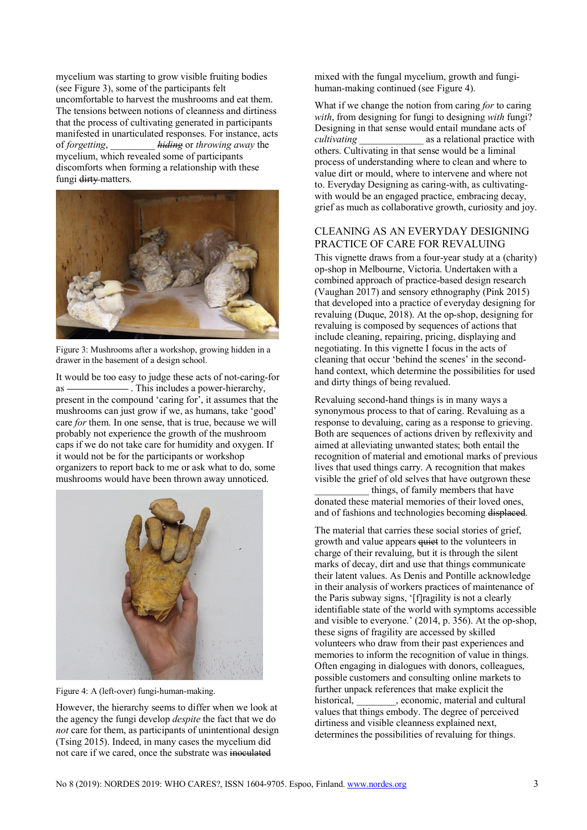mycelium was starting to grow visible fruiting bodies (see Figure 3), some of the participants felt uncomfortable to harvest the mushrooms and eat them. The tensions between notions of cleanness and dirtiness that the process of cultivating generated in participants manifested in unarticulated responses. For instance, acts of *forgetting*, \_\_\_\_\_\_\_\_\_ *hiding* or *throwing away* the mycelium, which revealed some of participants discomforts when forming a relationship with these fungi dirty matters.



Figure 3: Mushrooms after a workshop, growing hidden in a drawer in the basement of a design school.

It would be too easy to judge these acts of not-caring-for as  $\overline{\phantom{a}}$ . This includes a power-hierarchy, present in the compound 'caring for', it assumes that the mushrooms can just grow if we, as humans, take 'good' care *for* them. In one sense, that is true, because we will probably not experience the growth of the mushroom caps if we do not take care for humidity and oxygen. If it would not be for the participants or workshop organizers to report back to me or ask what to do, some mushrooms would have been thrown away unnoticed.



Figure 4: A (left-over) fungi-human-making.

However, the hierarchy seems to differ when we look at the agency the fungi develop *despite* the fact that we do *not* care for them, as participants of unintentional design (Tsing 2015). Indeed, in many cases the mycelium did not care if we cared, once the substrate was inoculated

mixed with the fungal mycelium, growth and fungihuman-making continued (see Figure 4).

What if we change the notion from caring *for* to caring *with*, from designing for fungi to designing *with* fungi? Designing in that sense would entail mundane acts of *cultivating* as a relational practice with as a relational practice with others. Cultivating in that sense would be a liminal process of understanding where to clean and where to value dirt or mould, where to intervene and where not to. Everyday Designing as caring-with, as cultivatingwith would be an engaged practice, embracing decay, grief as much as collaborative growth, curiosity and joy.

## CLEANING AS AN EVERYDAY DESIGNING PRACTICE OF CARE FOR REVALUING

This vignette draws from a four-year study at a (charity) op-shop in Melbourne, Victoria. Undertaken with a combined approach of practice-based design research (Vaughan 2017) and sensory ethnography (Pink 2015) that developed into a practice of everyday designing for revaluing (Duque, 2018). At the op-shop, designing for revaluing is composed by sequences of actions that include cleaning, repairing, pricing, displaying and negotiating. In this vignette I focus in the acts of cleaning that occur 'behind the scenes' in the secondhand context, which determine the possibilities for used and dirty things of being revalued.

Revaluing second-hand things is in many ways a synonymous process to that of caring. Revaluing as a response to devaluing, caring as a response to grieving. Both are sequences of actions driven by reflexivity and aimed at alleviating unwanted states; both entail the recognition of material and emotional marks of previous lives that used things carry. A recognition that makes visible the grief of old selves that have outgrown these

things, of family members that have donated these material memories of their loved ones, and of fashions and technologies becoming displaced.

The material that carries these social stories of grief, growth and value appears quiet to the volunteers in charge of their revaluing, but it is through the silent marks of decay, dirt and use that things communicate their latent values. As Denis and Pontille acknowledge in their analysis of workers practices of maintenance of the Paris subway signs, '[f]ragility is not a clearly identifiable state of the world with symptoms accessible and visible to everyone.' (2014, p. 356). At the op-shop, these signs of fragility are accessed by skilled volunteers who draw from their past experiences and memories to inform the recognition of value in things. Often engaging in dialogues with donors, colleagues, possible customers and consulting online markets to further unpack references that make explicit the historical, economic, material and cultural values that things embody. The degree of perceived dirtiness and visible cleanness explained next, determines the possibilities of revaluing for things.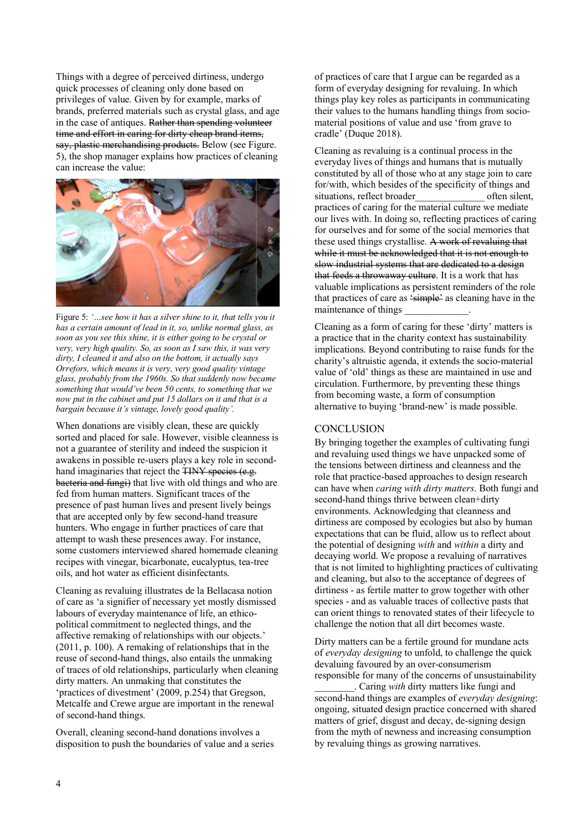Things with a degree of perceived dirtiness, undergo quick processes of cleaning only done based on privileges of value. Given by for example, marks of brands, preferred materials such as crystal glass, and age in the case of antiques. Rather than spending volunteer time and effort in caring for dirty cheap brand items, say, plastic merchandising products. Below (see Figure. 5), the shop manager explains how practices of cleaning can increase the value:



Figure 5: *'…see how it has a silver shine to it, that tells you it has a certain amount of lead in it, so, unlike normal glass, as soon as you see this shine, it is either going to be crystal or very, very high quality. So, as soon as I saw this, it was very dirty, I cleaned it and also on the bottom, it actually says Orrefors, which means it is very, very good quality vintage glass, probably from the 1960s. So that suddenly now became something that would've been 50 cents, to something that we now put in the cabinet and put 15 dollars on it and that is a bargain because it's vintage, lovely good quality'.* 

When donations are visibly clean, these are quickly sorted and placed for sale. However, visible cleanness is not a guarantee of sterility and indeed the suspicion it awakens in possible re-users plays a key role in secondhand imaginaries that reject the TINY species (e.g. bacteria and fungi) that live with old things and who are fed from human matters. Significant traces of the presence of past human lives and present lively beings that are accepted only by few second-hand treasure hunters. Who engage in further practices of care that attempt to wash these presences away. For instance, some customers interviewed shared homemade cleaning recipes with vinegar, bicarbonate, eucalyptus, tea-tree oils, and hot water as efficient disinfectants.

Cleaning as revaluing illustrates de la Bellacasa notion of care as 'a signifier of necessary yet mostly dismissed labours of everyday maintenance of life, an ethicopolitical commitment to neglected things, and the affective remaking of relationships with our objects.' (2011, p. 100). A remaking of relationships that in the reuse of second-hand things, also entails the unmaking of traces of old relationships, particularly when cleaning dirty matters. An unmaking that constitutes the 'practices of divestment' (2009, p.254) that Gregson, Metcalfe and Crewe argue are important in the renewal of second-hand things.

Overall, cleaning second-hand donations involves a disposition to push the boundaries of value and a series of practices of care that I argue can be regarded as a form of everyday designing for revaluing. In which things play key roles as participants in communicating their values to the humans handling things from sociomaterial positions of value and use 'from grave to cradle' (Duque 2018).

Cleaning as revaluing is a continual process in the everyday lives of things and humans that is mutually constituted by all of those who at any stage join to care for/with, which besides of the specificity of things and situations, reflect broader often silent, practices of caring for the material culture we mediate our lives with. In doing so, reflecting practices of caring for ourselves and for some of the social memories that these used things crystallise. A work of revaluing that while it must be acknowledged that it is not enough to slow industrial systems that are dedicated to a design that feeds a throwaway culture. It is a work that has valuable implications as persistent reminders of the role that practices of care as 'simple' as cleaning have in the maintenance of things

Cleaning as a form of caring for these 'dirty' matters is a practice that in the charity context has sustainability implications. Beyond contributing to raise funds for the charity's altruistic agenda, it extends the socio-material value of 'old' things as these are maintained in use and circulation. Furthermore, by preventing these things from becoming waste, a form of consumption alternative to buying 'brand-new' is made possible.

## **CONCLUSION**

By bringing together the examples of cultivating fungi and revaluing used things we have unpacked some of the tensions between dirtiness and cleanness and the role that practice-based approaches to design research can have when *caring with dirty matters*. Both fungi and second-hand things thrive between clean+dirty environments. Acknowledging that cleanness and dirtiness are composed by ecologies but also by human expectations that can be fluid, allow us to reflect about the potential of designing *with* and *within* a dirty and decaying world. We propose a revaluing of narratives that is not limited to highlighting practices of cultivating and cleaning, but also to the acceptance of degrees of dirtiness - as fertile matter to grow together with other species - and as valuable traces of collective pasts that can orient things to renovated states of their lifecycle to challenge the notion that all dirt becomes waste.

Dirty matters can be a fertile ground for mundane acts of *everyday designing* to unfold, to challenge the quick devaluing favoured by an over-consumerism responsible for many of the concerns of unsustainability \_\_\_\_\_\_\_\_. Caring *with* dirty matters like fungi and second-hand things are examples of *everyday designing*: ongoing, situated design practice concerned with shared matters of grief, disgust and decay, de-signing design from the myth of newness and increasing consumption by revaluing things as growing narratives.